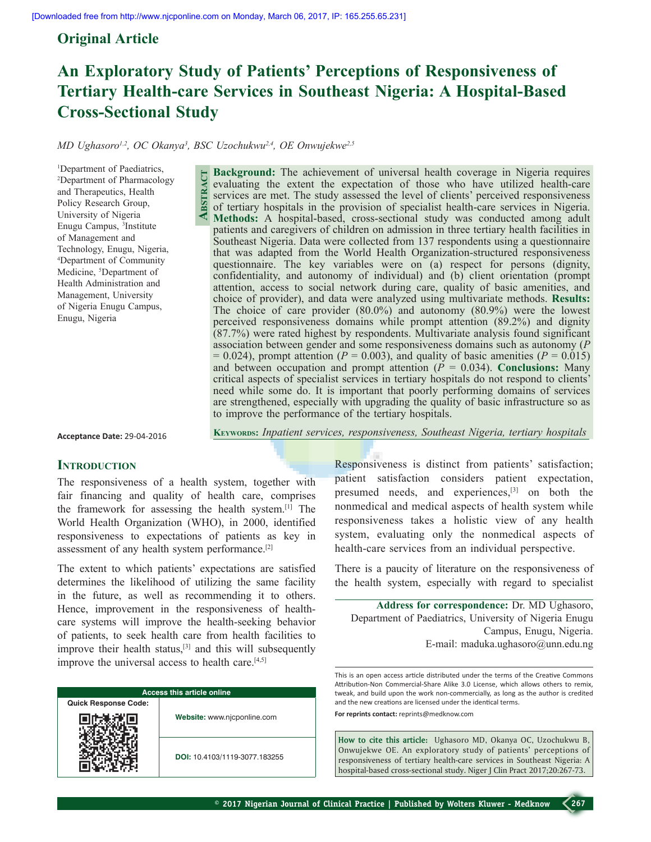# **Original Article**

# **An Exploratory Study of Patients' Perceptions of Responsiveness of Tertiary Health-care Services in Southeast Nigeria: A Hospital-Based Cross-Sectional Study**

*MD Ughasoro1,2 , OC Okanya3 , BSC Uzochukwu2,4 , OE Onwujekwe2,5*

1 Department of Paediatrics, 2 Department of Pharmacology and Therapeutics, Health Policy Research Group, University of Nigeria Enugu Campus, 3 Institute of Management and Technology, Enugu, Nigeria, 4 Department of Community Medicine, <sup>5</sup>Department of Health Administration and Management, University of Nigeria Enugu Campus, Enugu, Nigeria

**Background:** The achievement of universal health coverage in Nigeria requires evaluating the extent the expectation of those who have utilized health-care services are met. The study assessed the level of clients' perceived responsiveness of tertiary hospitals in the provision of specialist health-care services in Nigeria. **Methods:** A hospital-based, cross-sectional study was conducted among adult patients and caregivers of children on admission in three tertiary health facilities in Southeast Nigeria. Data were collected from 137 respondents using a questionnaire that was adapted from the World Health Organization-structured responsiveness questionnaire. The key variables were on (a) respect for persons (dignity, confidentiality, and autonomy of individual) and (b) client orientation (prompt attention, access to social network during care, quality of basic amenities, and choice of provider), and data were analyzed using multivariate methods. **Results:** The choice of care provider (80.0%) and autonomy (80.9%) were the lowest perceived responsiveness domains while prompt attention (89.2%) and dignity (87.7%) were rated highest by respondents. Multivariate analysis found significant association between gender and some responsiveness domains such as autonomy (*P*  $= 0.024$ ), prompt attention ( $P = 0.003$ ), and quality of basic amenities ( $P = 0.015$ ) and between occupation and prompt attention  $(P = 0.034)$ . **Conclusions:** Many critical aspects of specialist services in tertiary hospitals do not respond to clients' need while some do. It is important that poorly performing domains of services are strengthened, especially with upgrading the quality of basic infrastructure so as to improve the performance of the tertiary hospitals. **Abstract**

**Acceptance Date:** 29-04-2016

**Keywords:** *Inpatient services, responsiveness, Southeast Nigeria, tertiary hospitals* 

## **INTRODUCTION**

The responsiveness of a health system, together with fair financing and quality of health care, comprises the framework for assessing the health system.[1] The World Health Organization (WHO), in 2000, identified responsiveness to expectations of patients as key in assessment of any health system performance.[2]

The extent to which patients' expectations are satisfied determines the likelihood of utilizing the same facility in the future, as well as recommending it to others. Hence, improvement in the responsiveness of healthcare systems will improve the health-seeking behavior of patients, to seek health care from health facilities to improve their health status,[3] and this will subsequently improve the universal access to health care. $[4,5]$ 

| Access this article online  |                               |  |  |  |  |
|-----------------------------|-------------------------------|--|--|--|--|
| <b>Quick Response Code:</b> |                               |  |  |  |  |
|                             | Website: www.njcponline.com   |  |  |  |  |
|                             | DOI: 10.4103/1119-3077.183255 |  |  |  |  |

Responsiveness is distinct from patients' satisfaction; patient satisfaction considers patient expectation, presumed needs, and experiences,[3] on both the nonmedical and medical aspects of health system while responsiveness takes a holistic view of any health system, evaluating only the nonmedical aspects of health-care services from an individual perspective.

There is a paucity of literature on the responsiveness of the health system, especially with regard to specialist

**Address for correspondence:** Dr. MD Ughasoro, Department of Paediatrics, University of Nigeria Enugu Campus, Enugu, Nigeria. E-mail: maduka.ughasoro@unn.edu.ng

This is an open access article distributed under the terms of the Creative Commons Attribution-Non Commercial-Share Alike 3.0 License, which allows others to remix, tweak, and build upon the work non-commercially, as long as the author is credited and the new creations are licensed under the identical terms.

**For reprints contact:** reprints@medknow.com

**How to cite this article:** Ughasoro MD, Okanya OC, Uzochukwu B, Onwujekwe OE. An exploratory study of patients' perceptions of responsiveness of tertiary health-care services in Southeast Nigeria: A hospital-based cross-sectional study. Niger J Clin Pract 2017;20:267-73.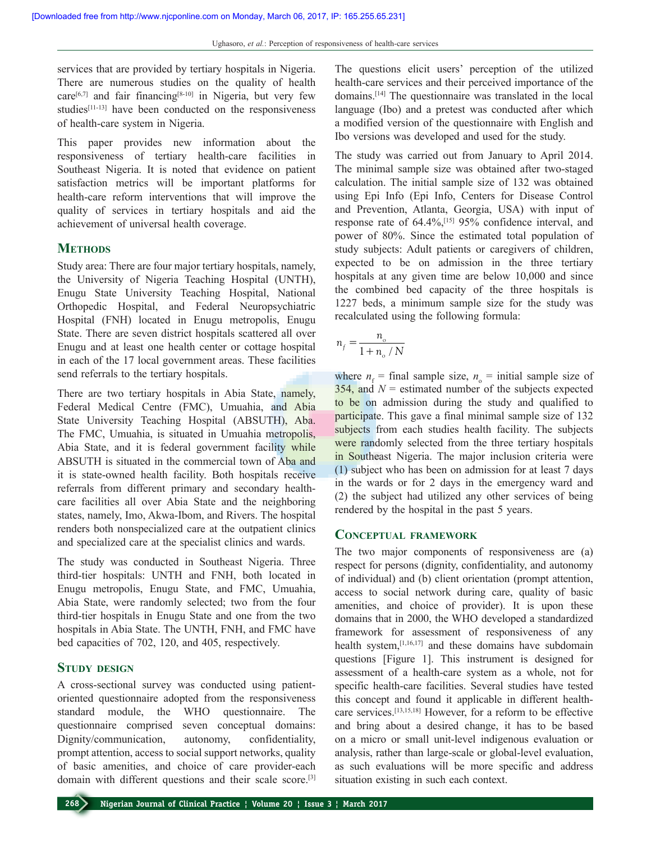services that are provided by tertiary hospitals in Nigeria. There are numerous studies on the quality of health care<sup>[6,7]</sup> and fair financing<sup>[8-10]</sup> in Nigeria, but very few studies<sup>[11-13]</sup> have been conducted on the responsiveness of health-care system in Nigeria.

This paper provides new information about the responsiveness of tertiary health-care facilities in Southeast Nigeria. It is noted that evidence on patient satisfaction metrics will be important platforms for health-care reform interventions that will improve the quality of services in tertiary hospitals and aid the achievement of universal health coverage.

# **METHODS**

Study area: There are four major tertiary hospitals, namely, the University of Nigeria Teaching Hospital (UNTH), Enugu State University Teaching Hospital, National Orthopedic Hospital, and Federal Neuropsychiatric Hospital (FNH) located in Enugu metropolis, Enugu State. There are seven district hospitals scattered all over Enugu and at least one health center or cottage hospital in each of the 17 local government areas. These facilities send referrals to the tertiary hospitals.

There are two tertiary hospitals in Abia State, namely, Federal Medical Centre (FMC), Umuahia, and Abia State University Teaching Hospital (ABSUTH), Aba. The FMC, Umuahia, is situated in Umuahia metropolis, Abia State, and it is federal government facility while ABSUTH is situated in the commercial town of Aba and it is state-owned health facility. Both hospitals receive referrals from different primary and secondary healthcare facilities all over Abia State and the neighboring states, namely, Imo, Akwa-Ibom, and Rivers. The hospital renders both nonspecialized care at the outpatient clinics and specialized care at the specialist clinics and wards.

The study was conducted in Southeast Nigeria. Three third-tier hospitals: UNTH and FNH, both located in Enugu metropolis, Enugu State, and FMC, Umuahia, Abia State, were randomly selected; two from the four third-tier hospitals in Enugu State and one from the two hospitals in Abia State. The UNTH, FNH, and FMC have bed capacities of 702, 120, and 405, respectively.

## **Study design**

A cross-sectional survey was conducted using patientoriented questionnaire adopted from the responsiveness standard module, the WHO questionnaire. The questionnaire comprised seven conceptual domains: Dignity/communication, autonomy, confidentiality, prompt attention, access to social support networks, quality of basic amenities, and choice of care provider-each domain with different questions and their scale score.<sup>[3]</sup> The questions elicit users' perception of the utilized health-care services and their perceived importance of the domains.[14] The questionnaire was translated in the local language (Ibo) and a pretest was conducted after which a modified version of the questionnaire with English and Ibo versions was developed and used for the study.

The study was carried out from January to April 2014. The minimal sample size was obtained after two-staged calculation. The initial sample size of 132 was obtained using Epi Info (Epi Info, Centers for Disease Control and Prevention, Atlanta, Georgia, USA) with input of response rate of 64.4%,[15] 95% confidence interval, and power of 80%. Since the estimated total population of study subjects: Adult patients or caregivers of children, expected to be on admission in the three tertiary hospitals at any given time are below 10,000 and since the combined bed capacity of the three hospitals is 1227 beds, a minimum sample size for the study was recalculated using the following formula:

$$
n_f = \frac{n_{\rm o}}{1 + n_{\rm o}/N}
$$

where  $n_f$  = final sample size,  $n_o$  = initial sample size of  $354$ , and  $N =$  estimated number of the subjects expected to be on admission during the study and qualified to participate. This gave a final minimal sample size of 132 subjects from each studies health facility. The subjects were randomly selected from the three tertiary hospitals in Southeast Nigeria. The major inclusion criteria were (1) subject who has been on admission for at least 7 days in the wards or for 2 days in the emergency ward and (2) the subject had utilized any other services of being rendered by the hospital in the past 5 years.

## **Conceptual framework**

The two major components of responsiveness are (a) respect for persons (dignity, confidentiality, and autonomy of individual) and (b) client orientation (prompt attention, access to social network during care, quality of basic amenities, and choice of provider). It is upon these domains that in 2000, the WHO developed a standardized framework for assessment of responsiveness of any health system, $[1,16,17]$  and these domains have subdomain questions [Figure 1]. This instrument is designed for assessment of a health-care system as a whole, not for specific health-care facilities. Several studies have tested this concept and found it applicable in different healthcare services.[13,15,18] However, for a reform to be effective and bring about a desired change, it has to be based on a micro or small unit-level indigenous evaluation or analysis, rather than large-scale or global-level evaluation, as such evaluations will be more specific and address situation existing in such each context.

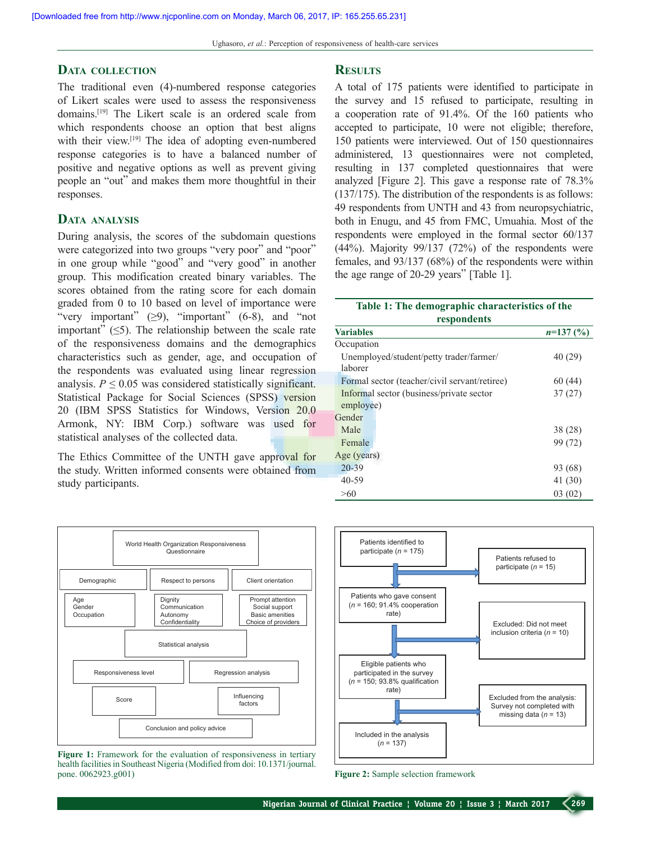## **Data collection**

The traditional even (4)-numbered response categories of Likert scales were used to assess the responsiveness domains.[19] The Likert scale is an ordered scale from which respondents choose an option that best aligns with their view.<sup>[19]</sup> The idea of adopting even-numbered response categories is to have a balanced number of positive and negative options as well as prevent giving people an "out" and makes them more thoughtful in their responses.

### **Data analysis**

During analysis, the scores of the subdomain questions were categorized into two groups "very poor" and "poor" in one group while "good" and "very good" in another group. This modification created binary variables. The scores obtained from the rating score for each domain graded from 0 to 10 based on level of importance were "very important"  $(\geq 9)$ , "important" (6-8), and "not important"  $(\leq 5)$ . The relationship between the scale rate of the responsiveness domains and the demographics characteristics such as gender, age, and occupation of the respondents was evaluated using linear regression analysis.  $P \leq 0.05$  was considered statistically significant. Statistical Package for Social Sciences (SPSS) version 20 (IBM SPSS Statistics for Windows, Version 20.0 Armonk, NY: IBM Corp.) software was used for statistical analyses of the collected data.

The Ethics Committee of the UNTH gave approval for the study. Written informed consents were obtained from study participants.



**Figure 1:** Framework for the evaluation of responsiveness in tertiary health facilities in Southeast Nigeria (Modified from doi: 10.1371/journal. pone. 0062923.g001)

#### **Results**

A total of 175 patients were identified to participate in the survey and 15 refused to participate, resulting in a cooperation rate of 91.4%. Of the 160 patients who accepted to participate, 10 were not eligible; therefore, 150 patients were interviewed. Out of 150 questionnaires administered, 13 questionnaires were not completed, resulting in 137 completed questionnaires that were analyzed [Figure 2]. This gave a response rate of 78.3% (137/175). The distribution of the respondents is as follows: 49 respondents from UNTH and 43 from neuropsychiatric, both in Enugu, and 45 from FMC, Umuahia. Most of the respondents were employed in the formal sector 60/137 (44%). Majority 99/137 (72%) of the respondents were females, and 93/137 (68%) of the respondents were within the age range of 20-29 years" [Table 1].

| Table 1: The demographic characteristics of the |            |  |  |  |  |  |
|-------------------------------------------------|------------|--|--|--|--|--|
| respondents                                     |            |  |  |  |  |  |
| <b>Variables</b>                                | $n=137(%)$ |  |  |  |  |  |
| Occupation                                      |            |  |  |  |  |  |
| Unemployed/student/petty trader/farmer/         | 40(29)     |  |  |  |  |  |
| laborer                                         |            |  |  |  |  |  |
| Formal sector (teacher/civil servant/retiree)   | 60(44)     |  |  |  |  |  |
| Informal sector (business/private sector        | 37(27)     |  |  |  |  |  |
| employee)                                       |            |  |  |  |  |  |
| Gender                                          |            |  |  |  |  |  |
| Male                                            | 38 (28)    |  |  |  |  |  |
| Female                                          | 99 (72)    |  |  |  |  |  |
| Age (years)                                     |            |  |  |  |  |  |
| $20 - 39$                                       | 93 (68)    |  |  |  |  |  |
| $40 - 59$                                       | 41 (30)    |  |  |  |  |  |
| >60                                             | 03(02)     |  |  |  |  |  |



**Figure 2:** Sample selection framework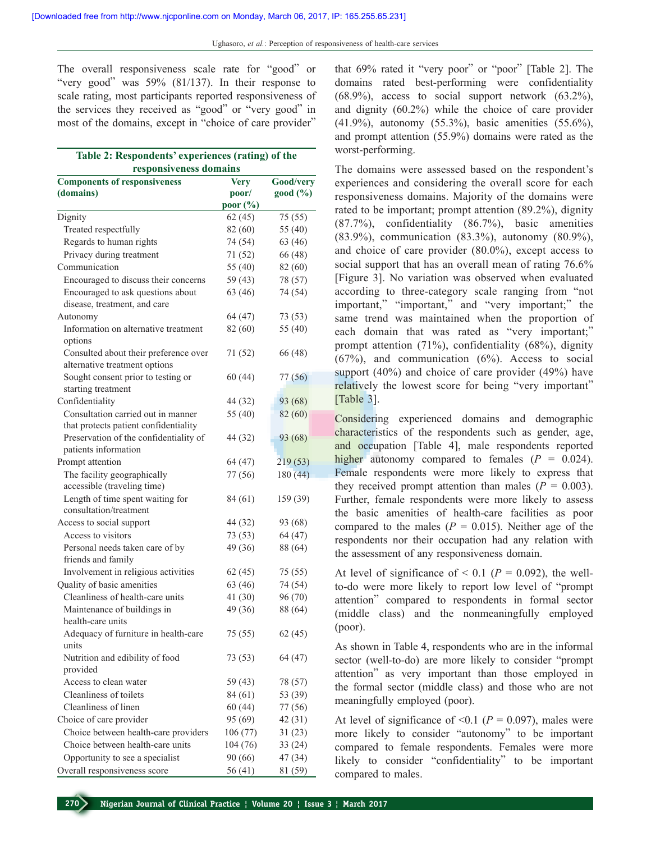The overall responsiveness scale rate for "good" or "very good" was 59% (81/137). In their response to scale rating, most participants reported responsiveness of the services they received as "good" or "very good" in most of the domains, except in "choice of care provider"

| Table 2: Respondents' experiences (rating) of the<br>responsiveness domains |             |           |  |  |  |  |  |  |
|-----------------------------------------------------------------------------|-------------|-----------|--|--|--|--|--|--|
| <b>Components of responsiveness</b>                                         | <b>Very</b> | Good/very |  |  |  |  |  |  |
| (domains)                                                                   | poor/       | good (%)  |  |  |  |  |  |  |
|                                                                             | poor (%)    |           |  |  |  |  |  |  |
| Dignity                                                                     | 62(45)      | 75 (55)   |  |  |  |  |  |  |
| Treated respectfully                                                        | 82 (60)     | 55 (40)   |  |  |  |  |  |  |
| Regards to human rights                                                     | 74 (54)     | 63 (46)   |  |  |  |  |  |  |
| Privacy during treatment                                                    | 71 (52)     | 66 (48)   |  |  |  |  |  |  |
| Communication                                                               | 55 (40)     | 82 (60)   |  |  |  |  |  |  |
| Encouraged to discuss their concerns                                        | 59 (43)     | 78 (57)   |  |  |  |  |  |  |
| Encouraged to ask questions about                                           | 63 (46)     | 74 (54)   |  |  |  |  |  |  |
| disease, treatment, and care                                                |             |           |  |  |  |  |  |  |
| Autonomy                                                                    | 64 (47)     | 73 (53)   |  |  |  |  |  |  |
| Information on alternative treatment                                        | 82 (60)     | 55 (40)   |  |  |  |  |  |  |
| options                                                                     |             |           |  |  |  |  |  |  |
| Consulted about their preference over                                       | 71 (52)     | 66 (48)   |  |  |  |  |  |  |
| alternative treatment options                                               |             |           |  |  |  |  |  |  |
| Sought consent prior to testing or                                          | 60(44)      | 77 (56)   |  |  |  |  |  |  |
| starting treatment                                                          |             |           |  |  |  |  |  |  |
| Confidentiality                                                             | 44 (32)     | 93 (68)   |  |  |  |  |  |  |
| Consultation carried out in manner                                          | 55 (40)     | 82(60)    |  |  |  |  |  |  |
| that protects patient confidentiality                                       |             |           |  |  |  |  |  |  |
| Preservation of the confidentiality of                                      | 44 (32)     | 93 (68)   |  |  |  |  |  |  |
| patients information                                                        |             |           |  |  |  |  |  |  |
| Prompt attention                                                            | 64 (47)     | 219 (53)  |  |  |  |  |  |  |
| The facility geographically                                                 | 77 (56)     | 180(44)   |  |  |  |  |  |  |
| accessible (traveling time)                                                 |             |           |  |  |  |  |  |  |
| Length of time spent waiting for                                            | 84 (61)     | 159 (39)  |  |  |  |  |  |  |
| consultation/treatment                                                      |             |           |  |  |  |  |  |  |
| Access to social support                                                    | 44 (32)     | 93 (68)   |  |  |  |  |  |  |
| Access to visitors                                                          | 73 (53)     | 64 (47)   |  |  |  |  |  |  |
| Personal needs taken care of by                                             | 49 (36)     | 88 (64)   |  |  |  |  |  |  |
| friends and family                                                          |             |           |  |  |  |  |  |  |
| Involvement in religious activities                                         | 62(45)      | 75 (55)   |  |  |  |  |  |  |
| Quality of basic amenities                                                  | 63 (46)     | 74 (54)   |  |  |  |  |  |  |
| Cleanliness of health-care units                                            | 41 (30)     | 96 (70)   |  |  |  |  |  |  |
| Maintenance of buildings in                                                 | 49 (36)     | 88 (64)   |  |  |  |  |  |  |
| health-care units                                                           |             |           |  |  |  |  |  |  |
| Adequacy of furniture in health-care                                        | 75 (55)     | 62(45)    |  |  |  |  |  |  |
| units                                                                       |             |           |  |  |  |  |  |  |
| Nutrition and edibility of food                                             | 73 (53)     | 64 (47)   |  |  |  |  |  |  |
| provided                                                                    |             |           |  |  |  |  |  |  |
| Access to clean water                                                       | 59 (43)     | 78 (57)   |  |  |  |  |  |  |
| Cleanliness of toilets                                                      | 84 (61)     | 53 (39)   |  |  |  |  |  |  |
| Cleanliness of linen                                                        | 60(44)      | 77 (56)   |  |  |  |  |  |  |
| Choice of care provider                                                     | 95 (69)     | 42(31)    |  |  |  |  |  |  |
| Choice between health-care providers                                        | 106 (77)    | 31(23)    |  |  |  |  |  |  |
| Choice between health-care units                                            | 104 (76)    | 33(24)    |  |  |  |  |  |  |
| Opportunity to see a specialist                                             | 90(66)      | 47 (34)   |  |  |  |  |  |  |
| Overall responsiveness score                                                | 56 (41)     | 81 (59)   |  |  |  |  |  |  |

that 69% rated it "very poor" or "poor" [Table 2]. The domains rated best-performing were confidentiality  $(68.9\%)$ , access to social support network  $(63.2\%)$ , and dignity (60.2%) while the choice of care provider (41.9%), autonomy (55.3%), basic amenities (55.6%), and prompt attention (55.9%) domains were rated as the worst-performing.

The domains were assessed based on the respondent's experiences and considering the overall score for each responsiveness domains. Majority of the domains were rated to be important; prompt attention (89.2%), dignity (87.7%), confidentiality (86.7%), basic amenities (83.9%), communication (83.3%), autonomy (80.9%), and choice of care provider (80.0%), except access to social support that has an overall mean of rating 76.6% [Figure 3]. No variation was observed when evaluated according to three-category scale ranging from "not important," "important," and "very important;" the same trend was maintained when the proportion of each domain that was rated as "very important;" prompt attention (71%), confidentiality (68%), dignity  $(67%)$ , and communication  $(6%)$ . Access to social support (40%) and choice of care provider (49%) have relatively the lowest score for being "very important" [Table 3].

Considering experienced domains and demographic characteristics of the respondents such as gender, age, and occupation [Table 4], male respondents reported higher autonomy compared to females  $(P = 0.024)$ . Female respondents were more likely to express that they received prompt attention than males ( $P = 0.003$ ). Further, female respondents were more likely to assess the basic amenities of health-care facilities as poor compared to the males ( $P = 0.015$ ). Neither age of the respondents nor their occupation had any relation with the assessment of any responsiveness domain.

At level of significance of  $\leq$  0.1 ( $P = 0.092$ ), the wellto-do were more likely to report low level of "prompt attention" compared to respondents in formal sector (middle class) and the nonmeaningfully employed (poor).

As shown in Table 4, respondents who are in the informal sector (well-to-do) are more likely to consider "prompt attention" as very important than those employed in the formal sector (middle class) and those who are not meaningfully employed (poor).

At level of significance of  $\leq 0.1$  ( $P = 0.097$ ), males were more likely to consider "autonomy" to be important compared to female respondents. Females were more likely to consider "confidentiality" to be important compared to males.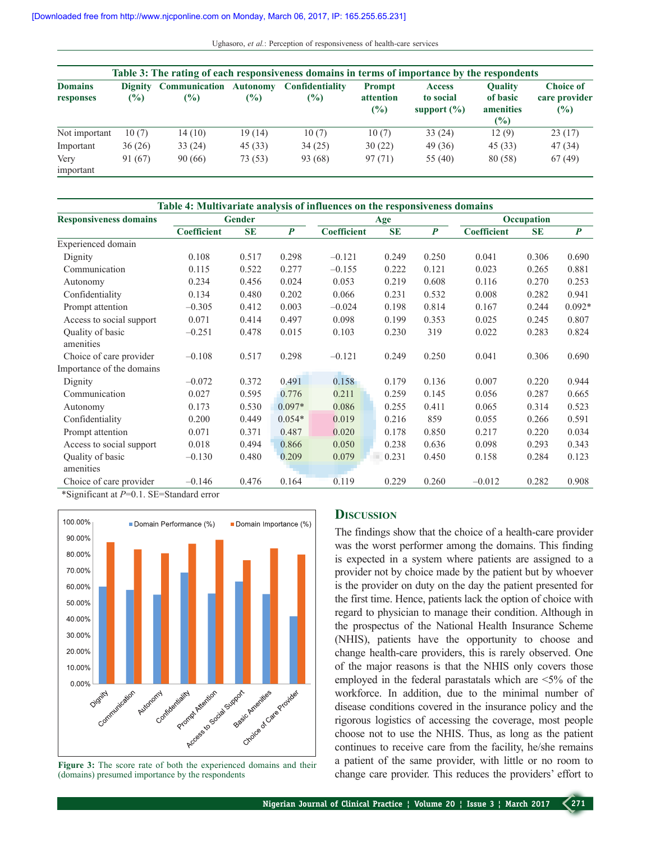Ughasoro, *et al.*: Perception of responsiveness of health-care services

|                             |               |                              |                           | Table 3: The rating of each responsiveness domains in terms of importance by the respondents |                                   |                                               |                                                   |                                                    |
|-----------------------------|---------------|------------------------------|---------------------------|----------------------------------------------------------------------------------------------|-----------------------------------|-----------------------------------------------|---------------------------------------------------|----------------------------------------------------|
| <b>Domains</b><br>responses | $\frac{1}{2}$ | Dignity Communication<br>(%) | <b>Autonomy</b><br>$(\%)$ | <b>Confidentiality</b><br>$\frac{6}{2}$                                                      | <b>Prompt</b><br>attention<br>(%) | <b>Access</b><br>to social<br>support $(\% )$ | <b>Ouality</b><br>of basic<br>amenities<br>$($ %) | <b>Choice of</b><br>care provider<br>$\frac{6}{2}$ |
| Not important               | 10(7)         | 14(10)                       | 19(14)                    | 10(7)                                                                                        | 10(7)                             | 33 (24)                                       | 12(9)                                             | 23(17)                                             |
| Important                   | 36(26)        | 33(24)                       | 45(33)                    | 34(25)                                                                                       | 30(22)                            | 49 (36)                                       | 45(33)                                            | 47 (34)                                            |
| Very<br>important           | 91 (67)       | 90(66)                       | 73 (53)                   | 93 (68)                                                                                      | 97(71)                            | 55 (40)                                       | 80 (58)                                           | 67(49)                                             |

| Table 4: Multivariate analysis of influences on the responsiveness domains |                    |           |                  |                    |           |                  |                    |           |                  |  |
|----------------------------------------------------------------------------|--------------------|-----------|------------------|--------------------|-----------|------------------|--------------------|-----------|------------------|--|
| <b>Responsiveness domains</b>                                              | <b>Gender</b>      |           |                  | Age                |           |                  | Occupation         |           |                  |  |
|                                                                            | <b>Coefficient</b> | <b>SE</b> | $\boldsymbol{P}$ | <b>Coefficient</b> | <b>SE</b> | $\boldsymbol{P}$ | <b>Coefficient</b> | <b>SE</b> | $\boldsymbol{P}$ |  |
| Experienced domain                                                         |                    |           |                  |                    |           |                  |                    |           |                  |  |
| Dignity                                                                    | 0.108              | 0.517     | 0.298            | $-0.121$           | 0.249     | 0.250            | 0.041              | 0.306     | 0.690            |  |
| Communication                                                              | 0.115              | 0.522     | 0.277            | $-0.155$           | 0.222     | 0.121            | 0.023              | 0.265     | 0.881            |  |
| Autonomy                                                                   | 0.234              | 0.456     | 0.024            | 0.053              | 0.219     | 0.608            | 0.116              | 0.270     | 0.253            |  |
| Confidentiality                                                            | 0.134              | 0.480     | 0.202            | 0.066              | 0.231     | 0.532            | 0.008              | 0.282     | 0.941            |  |
| Prompt attention                                                           | $-0.305$           | 0.412     | 0.003            | $-0.024$           | 0.198     | 0.814            | 0.167              | 0.244     | $0.092*$         |  |
| Access to social support                                                   | 0.071              | 0.414     | 0.497            | 0.098              | 0.199     | 0.353            | 0.025              | 0.245     | 0.807            |  |
| Quality of basic<br>amenities                                              | $-0.251$           | 0.478     | 0.015            | 0.103              | 0.230     | 319              | 0.022              | 0.283     | 0.824            |  |
| Choice of care provider                                                    | $-0.108$           | 0.517     | 0.298            | $-0.121$           | 0.249     | 0.250            | 0.041              | 0.306     | 0.690            |  |
| Importance of the domains                                                  |                    |           |                  |                    |           |                  |                    |           |                  |  |
| Dignity                                                                    | $-0.072$           | 0.372     | 0.491            | 0.158              | 0.179     | 0.136            | 0.007              | 0.220     | 0.944            |  |
| Communication                                                              | 0.027              | 0.595     | 0.776            | 0.211              | 0.259     | 0.145            | 0.056              | 0.287     | 0.665            |  |
| Autonomy                                                                   | 0.173              | 0.530     | $0.097*$         | 0.086              | 0.255     | 0.411            | 0.065              | 0.314     | 0.523            |  |
| Confidentiality                                                            | 0.200              | 0.449     | $0.054*$         | 0.019              | 0.216     | 859              | 0.055              | 0.266     | 0.591            |  |
| Prompt attention                                                           | 0.071              | 0.371     | 0.487            | 0.020              | 0.178     | 0.850            | 0.217              | 0.220     | 0.034            |  |
| Access to social support                                                   | 0.018              | 0.494     | 0.866            | 0.050              | 0.238     | 0.636            | 0.098              | 0.293     | 0.343            |  |
| Quality of basic                                                           | $-0.130$           | 0.480     | 0.209            | 0.079              | 0.231     | 0.450            | 0.158              | 0.284     | 0.123            |  |
| amenities                                                                  |                    |           |                  |                    |           |                  |                    |           |                  |  |
| Choice of care provider                                                    | $-0.146$           | 0.476     | 0.164            | 0.119              | 0.229     | 0.260            | $-0.012$           | 0.282     | 0.908            |  |

\*Significant at *P*=0.1. SE=Standard error



(domains) presumed importance by the respondents

# **Discussion**

The findings show that the choice of a health-care provider was the worst performer among the domains. This finding is expected in a system where patients are assigned to a provider not by choice made by the patient but by whoever is the provider on duty on the day the patient presented for the first time. Hence, patients lack the option of choice with regard to physician to manage their condition. Although in the prospectus of the National Health Insurance Scheme (NHIS), patients have the opportunity to choose and change health-care providers, this is rarely observed. One of the major reasons is that the NHIS only covers those employed in the federal parastatals which are <5% of the workforce. In addition, due to the minimal number of disease conditions covered in the insurance policy and the rigorous logistics of accessing the coverage, most people choose not to use the NHIS. Thus, as long as the patient continues to receive care from the facility, he/she remains a patient of the same provider, with little or no room to Figure 3: The score rate of both the experienced domains and their a patient of the same provider, with little or no room to change care providers, with little or no room to change care providers. This reduces the provider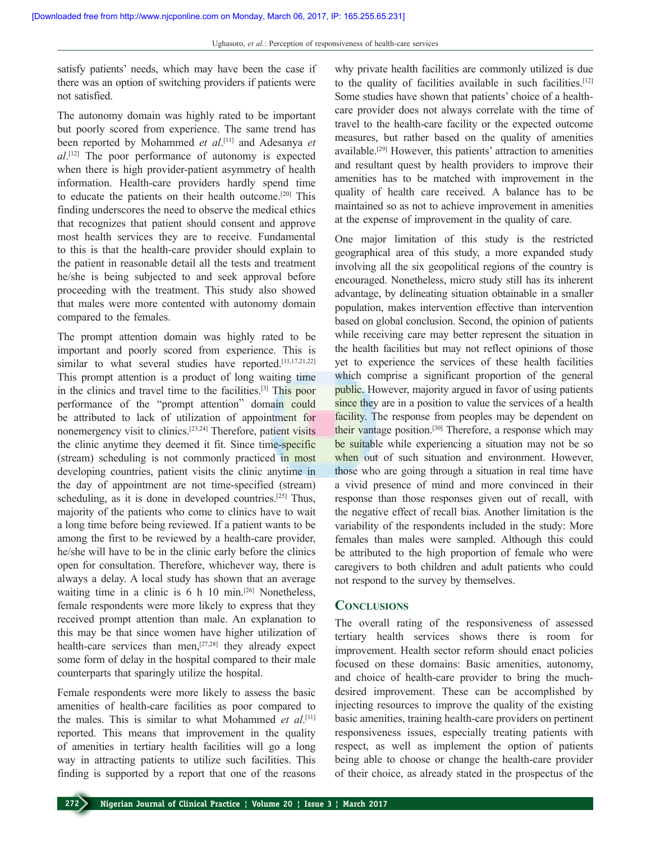satisfy patients' needs, which may have been the case if there was an option of switching providers if patients were not satisfied.

The autonomy domain was highly rated to be important but poorly scored from experience. The same trend has been reported by Mohammed *et al*. [11] and Adesanya *et al*. [12] The poor performance of autonomy is expected when there is high provider-patient asymmetry of health information. Health-care providers hardly spend time to educate the patients on their health outcome.[20] This finding underscores the need to observe the medical ethics that recognizes that patient should consent and approve most health services they are to receive. Fundamental to this is that the health-care provider should explain to the patient in reasonable detail all the tests and treatment he/she is being subjected to and seek approval before proceeding with the treatment. This study also showed that males were more contented with autonomy domain compared to the females.

The prompt attention domain was highly rated to be important and poorly scored from experience. This is similar to what several studies have reported.<sup>[11,17,21,22]</sup> This prompt attention is a product of long waiting time in the clinics and travel time to the facilities.[3] This poor performance of the "prompt attention" domain could be attributed to lack of utilization of appointment for nonemergency visit to clinics.[23,24] Therefore, patient visits the clinic anytime they deemed it fit. Since time-specific (stream) scheduling is not commonly practiced in most developing countries, patient visits the clinic anytime in the day of appointment are not time-specified (stream) scheduling, as it is done in developed countries.<sup>[25]</sup> Thus, majority of the patients who come to clinics have to wait a long time before being reviewed. If a patient wants to be among the first to be reviewed by a health-care provider, he/she will have to be in the clinic early before the clinics open for consultation. Therefore, whichever way, there is always a delay. A local study has shown that an average waiting time in a clinic is  $6 \text{ h } 10 \text{ min.}$ <sup>[26]</sup> Nonetheless, female respondents were more likely to express that they received prompt attention than male. An explanation to this may be that since women have higher utilization of health-care services than men,<sup>[27,28]</sup> they already expect some form of delay in the hospital compared to their male counterparts that sparingly utilize the hospital.

Female respondents were more likely to assess the basic amenities of health-care facilities as poor compared to the males. This is similar to what Mohammed *et al*. [11] reported. This means that improvement in the quality of amenities in tertiary health facilities will go a long way in attracting patients to utilize such facilities. This finding is supported by a report that one of the reasons why private health facilities are commonly utilized is due to the quality of facilities available in such facilities.<sup>[12]</sup> Some studies have shown that patients' choice of a healthcare provider does not always correlate with the time of travel to the health-care facility or the expected outcome measures, but rather based on the quality of amenities available.[29] However, this patients' attraction to amenities and resultant quest by health providers to improve their amenities has to be matched with improvement in the quality of health care received. A balance has to be maintained so as not to achieve improvement in amenities at the expense of improvement in the quality of care.

One major limitation of this study is the restricted geographical area of this study, a more expanded study involving all the six geopolitical regions of the country is encouraged. Nonetheless, micro study still has its inherent advantage, by delineating situation obtainable in a smaller population, makes intervention effective than intervention based on global conclusion. Second, the opinion of patients while receiving care may better represent the situation in the health facilities but may not reflect opinions of those yet to experience the services of these health facilities which comprise a significant proportion of the general public. However, majority argued in favor of using patients since they are in a position to value the services of a health facility. The response from peoples may be dependent on their vantage position.[30] Therefore, a response which may be suitable while experiencing a situation may not be so when out of such situation and environment. However, those who are going through a situation in real time have a vivid presence of mind and more convinced in their response than those responses given out of recall, with the negative effect of recall bias. Another limitation is the variability of the respondents included in the study: More females than males were sampled. Although this could be attributed to the high proportion of female who were caregivers to both children and adult patients who could not respond to the survey by themselves.

#### **Conclusions**

The overall rating of the responsiveness of assessed tertiary health services shows there is room for improvement. Health sector reform should enact policies focused on these domains: Basic amenities, autonomy, and choice of health-care provider to bring the muchdesired improvement. These can be accomplished by injecting resources to improve the quality of the existing basic amenities, training health-care providers on pertinent responsiveness issues, especially treating patients with respect, as well as implement the option of patients being able to choose or change the health-care provider of their choice, as already stated in the prospectus of the